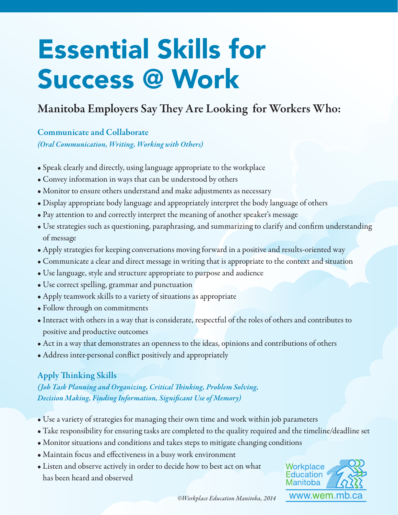# Essential Skills for Success @ Work

## Manitoba Employers Say They Are Looking for Workers Who:

Communicate and Collaborate *(Oral Communication, Writing, Working with Others)*

- Speak clearly and directly, using language appropriate to the workplace
- Convey information in ways that can be understood by others
- Monitor to ensure others understand and make adjustments as necessary
- Display appropriate body language and appropriately interpret the body language of others
- Pay attention to and correctly interpret the meaning of another speaker's message
- Use strategies such as questioning, paraphrasing, and summarizing to clarify and confirm understanding of message
- Apply strategies for keeping conversations moving forward in a positive and results-oriented way
- Communicate a clear and direct message in writing that is appropriate to the context and situation
- Use language, style and structure appropriate to purpose and audience
- Use correct spelling, grammar and punctuation
- Apply teamwork skills to a variety of situations as appropriate
- Follow through on commitments
- Interact with others in a way that is considerate, respectful of the roles of others and contributes to positive and productive outcomes
- Act in a way that demonstrates an openness to the ideas, opinions and contributions of others
- Address inter-personal conflict positively and appropriately

#### Apply Thinking Skills

*(Job Task Planning and Organizing, Critical inking, Problem Solving, Decision Making, Finding Information, Signi cant Use of Memory)*

- Use a variety of strategies for managing their own time and work within job parameters
- Take responsibility for ensuring tasks are completed to the quality required and the timeline/deadline set
- Monitor situations and conditions and takes steps to mitigate changing conditions
- Maintain focus and effectiveness in a busy work environment
- Listen and observe actively in order to decide how to best act on what has been heard and observed



*©Workplace Education Manitoba, 2014*